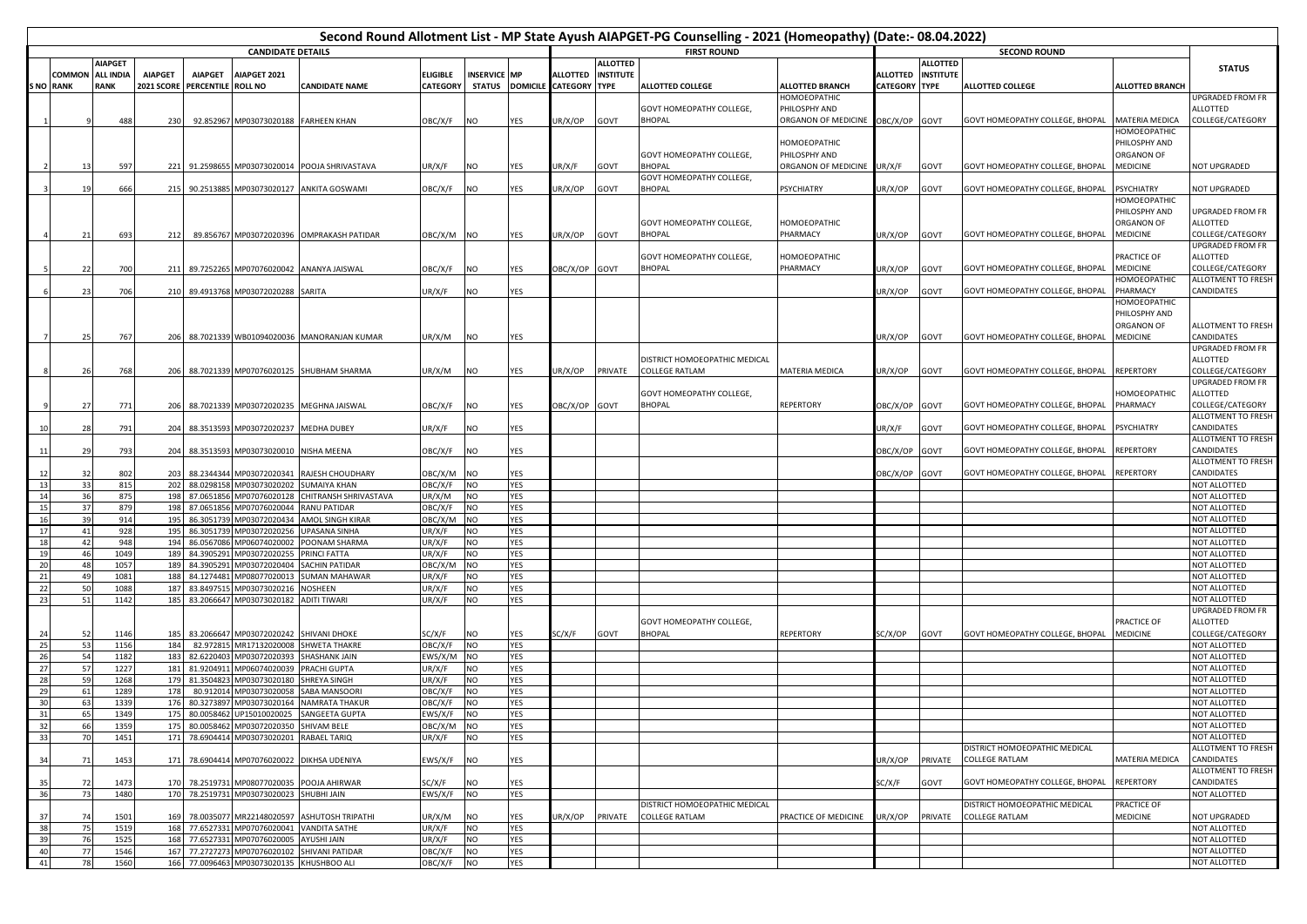| Second Round Allotment List - MP State Ayush AIAPGET-PG Counselling - 2021 (Homeopathy) (Date:- 08.04.2022) |          |                                 |                                     |                                      |                                                                                       |                                                |                             |                        |                    |                                                  |                  |                                                 |                                             |                                  |                  |                                                        |                         |                                        |
|-------------------------------------------------------------------------------------------------------------|----------|---------------------------------|-------------------------------------|--------------------------------------|---------------------------------------------------------------------------------------|------------------------------------------------|-----------------------------|------------------------|--------------------|--------------------------------------------------|------------------|-------------------------------------------------|---------------------------------------------|----------------------------------|------------------|--------------------------------------------------------|-------------------------|----------------------------------------|
| <b>CANDIDATE DETAILS</b>                                                                                    |          |                                 |                                     |                                      |                                                                                       |                                                |                             |                        | <b>FIRST ROUND</b> | <b>SECOND ROUND</b>                              |                  |                                                 |                                             |                                  |                  |                                                        |                         |                                        |
|                                                                                                             |          | <b>AIAPGET</b>                  |                                     |                                      |                                                                                       |                                                |                             |                        |                    |                                                  | <b>ALLOTTED</b>  |                                                 |                                             |                                  | <b>ALLOTTED</b>  |                                                        |                         | <b>STATUS</b>                          |
| S NO RANK                                                                                                   | COMMON   | <b>ALL INDIA</b><br><b>RANK</b> | <b>AIAPGET</b><br><b>2021 SCORE</b> | <b>AIAPGET</b><br>PERCENTILE ROLL NO | AIAPGET 2021                                                                          | <b>CANDIDATE NAME</b>                          | <b>ELIGIBLE</b><br>CATEGORY | <b>INSERVICE MP</b>    |                    | <b>ALLOTTED</b><br>STATUS DOMICILE CATEGORY TYPE | <b>INSTITUTE</b> | <b>ALLOTTED COLLEGE</b>                         | <b>ALLOTTED BRANCH</b>                      | ALLOTTED<br><b>CATEGORY TYPE</b> | <b>INSTITUTE</b> | <b>ALLOTTED COLLEGE</b>                                | <b>ALLOTTED BRANCH</b>  |                                        |
|                                                                                                             |          |                                 |                                     |                                      |                                                                                       |                                                |                             |                        |                    |                                                  |                  |                                                 | HOMOEOPATHIC                                |                                  |                  |                                                        |                         | JPGRADED FROM FR                       |
|                                                                                                             |          |                                 |                                     |                                      |                                                                                       |                                                |                             |                        |                    |                                                  |                  | GOVT HOMEOPATHY COLLEGE,                        | PHILOSPHY AND                               |                                  |                  |                                                        |                         | ALLOTTED                               |
|                                                                                                             |          | 488                             | 230                                 |                                      | 92.852967 MP03073020188 FARHEEN KHAN                                                  |                                                | OBC/X/F                     | NO                     | <b>YES</b>         | JR/X/OP                                          | GOVT             | <b>BHOPAL</b>                                   | ORGANON OF MEDICINE OBC/X/OP GOVT           |                                  |                  | GOVT HOMEOPATHY COLLEGE, BHOPAL                        | MATERIA MEDICA          | COLLEGE/CATEGORY                       |
|                                                                                                             |          |                                 |                                     |                                      |                                                                                       |                                                |                             |                        |                    |                                                  |                  |                                                 |                                             |                                  |                  |                                                        | HOMOEOPATHIC            |                                        |
|                                                                                                             |          |                                 |                                     |                                      |                                                                                       |                                                |                             |                        |                    |                                                  |                  |                                                 | HOMOEOPATHIC                                |                                  |                  |                                                        | PHILOSPHY AND           |                                        |
|                                                                                                             | 13       | 597                             |                                     |                                      |                                                                                       | 221 91.2598655 MP03073020014 POOJA SHRIVASTAVA | UR/X/F                      | NO                     | YES                | UR/X/F                                           | GOVT             | GOVT HOMEOPATHY COLLEGE,<br><b>BHOPAL</b>       | PHILOSPHY AND<br>ORGANON OF MEDICINE UR/X/F |                                  | GOVT             | GOVT HOMEOPATHY COLLEGE, BHOPAL                        | ORGANON OF<br>MEDICINE  | <b>NOT UPGRADED</b>                    |
|                                                                                                             |          |                                 |                                     |                                      |                                                                                       |                                                |                             |                        |                    |                                                  |                  | GOVT HOMEOPATHY COLLEGE,                        |                                             |                                  |                  |                                                        |                         |                                        |
|                                                                                                             | 19       | 666                             |                                     |                                      | 215 90.2513885 MP03073020127                                                          | <b>ANKITA GOSWAMI</b>                          | OBC/X/F                     | NO                     | <b>YES</b>         | JR/X/OP                                          | GOVT             | <b>BHOPAL</b>                                   | <b>PSYCHIATRY</b>                           | UR/X/OP                          | GOVT             | GOVT HOMEOPATHY COLLEGE, BHOPAL                        | PSYCHIATRY              | <b>NOT UPGRADED</b>                    |
|                                                                                                             |          |                                 |                                     |                                      |                                                                                       |                                                |                             |                        |                    |                                                  |                  |                                                 |                                             |                                  |                  |                                                        | HOMOEOPATHIC            |                                        |
|                                                                                                             |          |                                 |                                     |                                      |                                                                                       |                                                |                             |                        |                    |                                                  |                  |                                                 |                                             |                                  |                  |                                                        | PHILOSPHY AND           | JPGRADED FROM FR                       |
|                                                                                                             |          |                                 |                                     |                                      |                                                                                       |                                                |                             |                        |                    |                                                  |                  | GOVT HOMEOPATHY COLLEGE,                        | HOMOEOPATHIC                                |                                  |                  |                                                        | ORGANON OF              | ALLOTTED                               |
|                                                                                                             | 21       | 693                             | 212                                 |                                      | 89.856767 MP03072020396                                                               | <b>OMPRAKASH PATIDAR</b>                       | ОВС/Х/М                     | <b>NO</b>              | YES                | JR/X/OP                                          | GOVT             | BHOPAL                                          | PHARMACY                                    | JR/X/OP                          | GOVT             | GOVT HOMEOPATHY COLLEGE, BHOPAL                        | MEDICINE                | COLLEGE/CATEGORY<br>JPGRADED FROM FR   |
|                                                                                                             |          |                                 |                                     |                                      |                                                                                       |                                                |                             |                        |                    |                                                  |                  | GOVT HOMEOPATHY COLLEGE,                        | HOMOEOPATHIC                                |                                  |                  |                                                        | PRACTICE OF             | ALLOTTED                               |
|                                                                                                             | 22       | 700                             |                                     |                                      | 211 89.7252265 MP07076020042 ANANYA JAISWAL                                           |                                                | OBC/X/F                     | <b>NO</b>              | YES                | OBC/X/OP GOVT                                    |                  | <b>BHOPAL</b>                                   | PHARMACY                                    | UR/X/OP                          | GOVT             | GOVT HOMEOPATHY COLLEGE, BHOPAL                        | MEDICINE                | COLLEGE/CATEGORY                       |
|                                                                                                             |          |                                 |                                     |                                      |                                                                                       |                                                |                             |                        |                    |                                                  |                  |                                                 |                                             |                                  |                  |                                                        | HOMOEOPATHIC            | ALLOTMENT TO FRESH                     |
|                                                                                                             | 23       | 706                             |                                     |                                      | 210 89.4913768 MP03072020288 SARITA                                                   |                                                | JR/X/F                      | NO.                    | <b>YES</b>         |                                                  |                  |                                                 |                                             | UR/X/OP                          | <b>GOVT</b>      | GOVT HOMEOPATHY COLLEGE, BHOPAL                        | <b>HARMACY</b>          | CANDIDATES                             |
|                                                                                                             |          |                                 |                                     |                                      |                                                                                       |                                                |                             |                        |                    |                                                  |                  |                                                 |                                             |                                  |                  |                                                        | HOMOEOPATHIC            |                                        |
|                                                                                                             |          |                                 |                                     |                                      |                                                                                       |                                                |                             |                        |                    |                                                  |                  |                                                 |                                             |                                  |                  |                                                        | PHILOSPHY AND           |                                        |
|                                                                                                             |          |                                 |                                     |                                      |                                                                                       |                                                |                             |                        |                    |                                                  |                  |                                                 |                                             |                                  |                  | GOVT HOMEOPATHY COLLEGE, BHOPAL                        | ORGANON OF<br>MEDICINE  | ALLOTMENT TO FRESH<br>CANDIDATES       |
|                                                                                                             | 25       | 767                             |                                     |                                      |                                                                                       | 206 88.7021339 WB01094020036 MANORANJAN KUMAR  | JR/X/M                      | NO                     | YES                |                                                  |                  |                                                 |                                             | UR/X/OP                          | GOVT             |                                                        |                         | UPGRADED FROM FR                       |
|                                                                                                             |          |                                 |                                     |                                      |                                                                                       |                                                |                             |                        |                    |                                                  |                  | DISTRICT HOMOEOPATHIC MEDICAL                   |                                             |                                  |                  |                                                        |                         | ALLOTTED                               |
|                                                                                                             | 26       | 768                             |                                     |                                      |                                                                                       | 206 88.7021339 MP07076020125 SHUBHAM SHARMA    | UR/X/M                      | NO                     | YES                | JR/X/OP                                          | PRIVATE          | <b>COLLEGE RATLAM</b>                           | MATERIA MEDICA                              | UR/X/OP                          | GOVT             | GOVT HOMEOPATHY COLLEGE, BHOPAL                        | REPERTORY               | COLLEGE/CATEGORY                       |
|                                                                                                             |          |                                 |                                     |                                      |                                                                                       |                                                |                             |                        |                    |                                                  |                  |                                                 |                                             |                                  |                  |                                                        |                         | UPGRADED FROM FR                       |
|                                                                                                             |          |                                 |                                     |                                      |                                                                                       |                                                |                             |                        |                    |                                                  |                  | GOVT HOMEOPATHY COLLEGE,                        |                                             |                                  |                  |                                                        | <b>OMOEOPATHIC</b>      | ALLOTTED                               |
|                                                                                                             | 27       | 771                             | 206                                 | 88.7021339                           | MP03072020235                                                                         | <b>MEGHNA JAISWAL</b>                          | OBC/X/F                     | NO                     | YES                | OBC/X/OP GOVT                                    |                  | BHOPAL                                          | REPERTORY                                   | OBC/X/OP GOVT                    |                  | GOVT HOMEOPATHY COLLEGE, BHOPAL                        | PHARMACY                | COLLEGE/CATEGORY<br>ALLOTMENT TO FRESH |
|                                                                                                             | 28       | 791                             | 204                                 | 88.3513593                           | MP03072020237                                                                         | <b>MEDHA DUBEY</b>                             | UR/X/F                      | NO                     | <b>YES</b>         |                                                  |                  |                                                 |                                             | UR/X/F                           | GOVT             | GOVT HOMEOPATHY COLLEGE, BHOPAL                        | PSYCHIATRY              | CANDIDATES                             |
|                                                                                                             |          |                                 |                                     |                                      |                                                                                       |                                                |                             |                        |                    |                                                  |                  |                                                 |                                             |                                  |                  |                                                        |                         | ALLOTMENT TO FRESH                     |
| 11                                                                                                          | 29       | 793                             | 204                                 |                                      | 88.3513593 MP03073020010 NISHA MEENA                                                  |                                                | OBC/X/F                     | NO                     | YES                |                                                  |                  |                                                 |                                             | OBC/X/OP GOVT                    |                  | GOVT HOMEOPATHY COLLEGE, BHOPAL                        | REPERTORY               | CANDIDATES                             |
|                                                                                                             |          |                                 |                                     |                                      |                                                                                       |                                                |                             |                        |                    |                                                  |                  |                                                 |                                             |                                  |                  |                                                        |                         | ALLOTMENT TO FRESH                     |
| 12                                                                                                          | 32       | 802                             | 203                                 |                                      | 88.2344344 MP03072020341                                                              | RAJESH CHOUDHARY                               | OBC/X/M                     | <b>NO</b>              | <b>YES</b>         |                                                  |                  |                                                 |                                             | OBC/X/OP GOVT                    |                  | GOVT HOMEOPATHY COLLEGE, BHOPAL                        | <b>REPERTORY</b>        | CANDIDATES                             |
| 13                                                                                                          | 33       | 815                             | 202                                 |                                      | 88.0298158 MP03073020202                                                              | <b>SUMAIYA KHAN</b>                            | OBC/X/F                     | <b>NO</b>              | YES                |                                                  |                  |                                                 |                                             |                                  |                  |                                                        |                         | NOT ALLOTTED                           |
| 14<br>15                                                                                                    | 36<br>37 | 875<br>879                      | 198                                 | 87.0651856                           | 198 87.0651856 MP07076020128<br>MP07076020044                                         | CHITRANSH SHRIVASTAVA<br><b>RANU PATIDAR</b>   | UR/X/M<br>OBC/X/F           | <b>NO</b><br><b>NO</b> | <b>YES</b><br>YES  |                                                  |                  |                                                 |                                             |                                  |                  |                                                        |                         | NOT ALLOTTED<br>NOT ALLOTTED           |
| 16                                                                                                          | 39       | 914                             | 195                                 | 86.3051739                           | MP03072020434                                                                         | AMOL SINGH KIRAR                               | OBC/X/M                     | NO                     | YES                |                                                  |                  |                                                 |                                             |                                  |                  |                                                        |                         | NOT ALLOTTED                           |
| 17                                                                                                          | 41       | 928                             | 195                                 | 86.3051739                           | MP03072020256                                                                         | <b>UPASANA SINHA</b>                           | UR/X/F                      | NO                     | YES                |                                                  |                  |                                                 |                                             |                                  |                  |                                                        |                         | NOT ALLOTTED                           |
| 18                                                                                                          | 42       | 948                             | 194                                 | 86.0567086                           | MP06074020002                                                                         | POONAM SHARMA                                  | UR/X/F                      | <b>NO</b>              | <b>YES</b>         |                                                  |                  |                                                 |                                             |                                  |                  |                                                        |                         | NOT ALLOTTED                           |
| 19                                                                                                          | 46       | 1049                            | 189                                 | 84.3905291                           | MP03072020255                                                                         | PRINCI FATTA                                   | UR/X/F                      | NO                     | YES                |                                                  |                  |                                                 |                                             |                                  |                  |                                                        |                         | NOT ALLOTTED                           |
| 20<br>21                                                                                                    | 48<br>49 | 1057<br>1081                    | 189<br>188                          | 84.1274481                           | 84.3905291 MP03072020404<br>MP08077020013                                             | SACHIN PATIDAR<br><b>SUMAN MAHAWAR</b>         | OBC/X/M<br>UR/X/F           | <b>NO</b><br>NO        | YES<br>YES         |                                                  |                  |                                                 |                                             |                                  |                  |                                                        |                         | NOT ALLOTTED<br>NOT ALLOTTED           |
| 22                                                                                                          | 50       | 1088                            | 187                                 | 83.8497515                           | MP03073020216                                                                         | NOSHEEN                                        | UR/X/F                      | <b>NO</b>              | <b>YES</b>         |                                                  |                  |                                                 |                                             |                                  |                  |                                                        |                         | NOT ALLOTTED                           |
| 23                                                                                                          | 51       | 1142                            | 185                                 | 83.2066647                           | MP03073020182                                                                         | <b>ADITI TIWARI</b>                            | UR/X/F                      | NO                     | YES                |                                                  |                  |                                                 |                                             |                                  |                  |                                                        |                         | NOT ALLOTTED                           |
|                                                                                                             |          |                                 |                                     |                                      |                                                                                       |                                                |                             |                        |                    |                                                  |                  |                                                 |                                             |                                  |                  |                                                        |                         | UPGRADED FROM FR                       |
|                                                                                                             |          |                                 |                                     |                                      |                                                                                       |                                                |                             |                        |                    |                                                  |                  | GOVT HOMEOPATHY COLLEGE,                        |                                             |                                  |                  |                                                        | PRACTICE OF             | ALLOTTED                               |
| 24                                                                                                          | 52<br>53 | 1146                            | 185<br>184                          | 82.972815                            | 83.2066647 MP03072020242<br>MR17132020008                                             | <b>SHIVANI DHOKE</b><br><b>SHWETA THAKRE</b>   | SC/X/F<br>OBC/X/F           | NO<br><b>NO</b>        | <b>YES</b><br>YES  | SC/X/F                                           | GOVT             | BHOPAL                                          | REPERTORY                                   | SC/X/OP                          | GOVT             | GOVT HOMEOPATHY COLLEGE, BHOPAL                        | MEDICINE                | COLLEGE/CATEGORY<br>NOT ALLOTTED       |
| 25<br>26                                                                                                    | 54       | 1156<br>1182                    | 183                                 | 82.6220403                           | MP03072020393                                                                         | <b>SHASHANK JAIN</b>                           | EWS/X/M                     | <b>NO</b>              | <b>YES</b>         |                                                  |                  |                                                 |                                             |                                  |                  |                                                        |                         | NOT ALLOTTED                           |
| 27                                                                                                          | 57       | 1227                            | 181                                 | 81.9204911                           | MP06074020039                                                                         | PRACHI GUPTA                                   | UR/X/F                      | <b>NO</b>              | <b>YES</b>         |                                                  |                  |                                                 |                                             |                                  |                  |                                                        |                         | NOT ALLOTTED                           |
| 28                                                                                                          | 59       | 1268                            | 179                                 | 81.3504823                           | MP03073020180                                                                         | SHREYA SINGH                                   | UR/X/F                      | NO                     | <b>YES</b>         |                                                  |                  |                                                 |                                             |                                  |                  |                                                        |                         | NOT ALLOTTED                           |
| 29                                                                                                          | 61       | 1289                            | 178                                 | 80.912014                            | MP03073020058                                                                         | SABA MANSOORI                                  | OBC/X/F                     | NO                     | YES                |                                                  |                  |                                                 |                                             |                                  |                  |                                                        |                         | NOT ALLOTTED                           |
| 30                                                                                                          | 63       | 1339                            | 176                                 | 80.3273897                           | MP03073020164                                                                         | <b>NAMRATA THAKUR</b>                          | OBC/X/F                     | NO                     | YES                |                                                  |                  |                                                 |                                             |                                  |                  |                                                        |                         | NOT ALLOTTED                           |
| 31                                                                                                          | 65       | 1349                            | 175                                 |                                      | 80.0058462 UP15010020025                                                              | SANGEETA GUPTA                                 | EWS/X/F                     | <b>NO</b>              | <b>YES</b>         |                                                  |                  |                                                 |                                             |                                  |                  |                                                        |                         | NOT ALLOTTED                           |
| 33                                                                                                          | 66<br>70 | 1359<br>1451                    |                                     |                                      | 175 80.0058462 MP03072020350 SHIVAM BELE<br>171 78.6904414 MP03073020201 RABAEL TARIQ |                                                | OBC/X/M<br>UR/X/F           | <b>NO</b><br><b>NO</b> | YES<br>YES         |                                                  |                  |                                                 |                                             |                                  |                  |                                                        |                         | <b>NOT ALLOTTED</b><br>NOT ALLOTTED    |
|                                                                                                             |          |                                 |                                     |                                      |                                                                                       |                                                |                             |                        |                    |                                                  |                  |                                                 |                                             |                                  |                  | DISTRICT HOMOEOPATHIC MEDICAL                          |                         | ALLOTMENT TO FRESH                     |
| 34                                                                                                          | 71       | 1453                            |                                     |                                      | 171 78.6904414 MP07076020022 DIKHSA UDENIYA                                           |                                                | EWS/X/F                     | <b>NO</b>              | YES                |                                                  |                  |                                                 |                                             | JR/X/OP                          | PRIVATE          | <b>COLLEGE RATLAM</b>                                  | MATERIA MEDICA          | CANDIDATES                             |
|                                                                                                             |          |                                 |                                     |                                      |                                                                                       |                                                |                             |                        |                    |                                                  |                  |                                                 |                                             |                                  |                  |                                                        |                         | ALLOTMENT TO FRESH                     |
| 35                                                                                                          | 72       | 1473                            |                                     |                                      | 170 78.2519731 MP08077020035 POOJA AHIRWAR                                            |                                                | SC/X/F                      | NO                     | YES                |                                                  |                  |                                                 |                                             | SC/X/F                           | GOVT             | GOVT HOMEOPATHY COLLEGE, BHOPAL                        | <b>REPERTORY</b>        | CANDIDATES                             |
| 36                                                                                                          | 73       | 1480                            |                                     |                                      | 170 78.2519731 MP03073020023 SHUBHI JAIN                                              |                                                | EWS/X/F                     | NO                     | <b>YES</b>         |                                                  |                  |                                                 |                                             |                                  |                  |                                                        |                         | NOT ALLOTTED                           |
| 37                                                                                                          | 74       | 1501                            |                                     |                                      |                                                                                       | 169 78.0035077 MR22148020597 ASHUTOSH TRIPATHI | UR/X/M                      | NO                     | <b>YES</b>         | JR/X/OP                                          | PRIVATE          | DISTRICT HOMOEOPATHIC MEDICAL<br>COLLEGE RATLAM | PRACTICE OF MEDICINE                        | UR/X/OP                          | PRIVATE          | DISTRICT HOMOEOPATHIC MEDICAL<br><b>COLLEGE RATLAM</b> | PRACTICE OF<br>MEDICINE | NOT UPGRADED                           |
| 38                                                                                                          | 75       | 1519                            | 168                                 |                                      | 77.6527331 MP07076020041 VANDITA SATHE                                                |                                                | UR/X/F                      | NO                     | YES                |                                                  |                  |                                                 |                                             |                                  |                  |                                                        |                         | NOT ALLOTTED                           |
| 39                                                                                                          | 76       | 1525                            |                                     |                                      | 168 77.6527331 MP07076020005                                                          | <b>AYUSHI JAIN</b>                             | UR/X/F                      | <b>NO</b>              | YES                |                                                  |                  |                                                 |                                             |                                  |                  |                                                        |                         | NOT ALLOTTED                           |
| 40                                                                                                          | 77       | 1546                            |                                     |                                      | 167 77.2727273 MP07076020102                                                          | SHIVANI PATIDAR                                | OBC/X/F                     | <b>NO</b>              | YES                |                                                  |                  |                                                 |                                             |                                  |                  |                                                        |                         | NOT ALLOTTED                           |
| 41                                                                                                          | 78       | 1560                            |                                     |                                      | 166 77.0096463 MP03073020135 KHUSHBOO ALI                                             |                                                | OBC/X/F                     | <b>NO</b>              | <b>YES</b>         |                                                  |                  |                                                 |                                             |                                  |                  |                                                        |                         | NOT ALLOTTED                           |